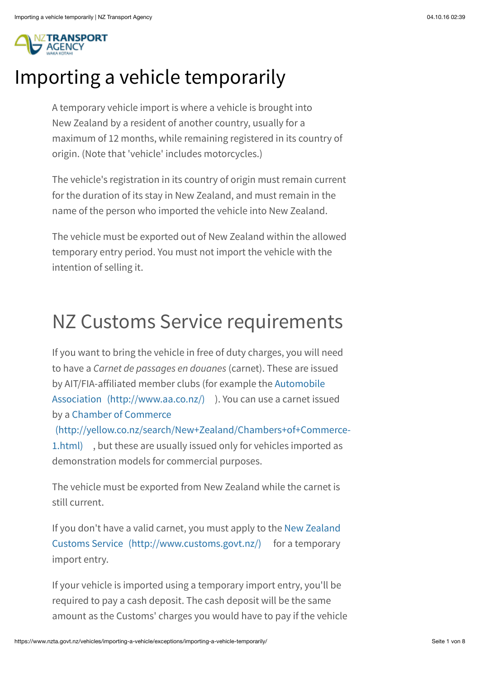

## Importing a vehicle temporarily

A temporary vehicle import is where a vehicle is brought into New Zealand by a resident of another country, usually for a maximum of 12 months, while remaining registered in its country of origin. (Note that 'vehicle' includes motorcycles.)

The vehicle's registration in its country of origin must remain current for the duration of its stay in New Zealand, and must remain in the name of the person who imported the vehicle into New Zealand.

The vehicle must be exported out of New Zealand within the allowed temporary entry period. You must not import the vehicle with the intention of selling it.

## NZ Customs Service requirements

If you want to bring the vehicle in free of duty charges, you will need to have a *Carnet de passages en douanes* (carnet). These are issued by AIT/FIA-affiliated member clubs (for example the Automobile [Association \(http://www.aa.co.nz/\) \). You can use a carnet issu](http://www.aa.co.nz/)ed by a Chamber of Commerce

[\(http://yellow.co.nz/search/New+Zealand/Chambers+of+Commerce-](http://yellow.co.nz/search/New+Zealand/Chambers+of+Commerce-1.html)1.html) , but these are usually issued only for vehicles imported as demonstration models for commercial purposes.

The vehicle must be exported from New Zealand while the carnet is still current.

[If you don't have a valid carnet, you must apply to the New Zealand](http://www.customs.govt.nz/) Customs Service (http://www.customs.govt.nz/) for a temporary import entry.

If your vehicle is imported using a temporary import entry, you'll be required to pay a cash deposit. The cash deposit will be the same amount as the Customs' charges you would have to pay if the vehicle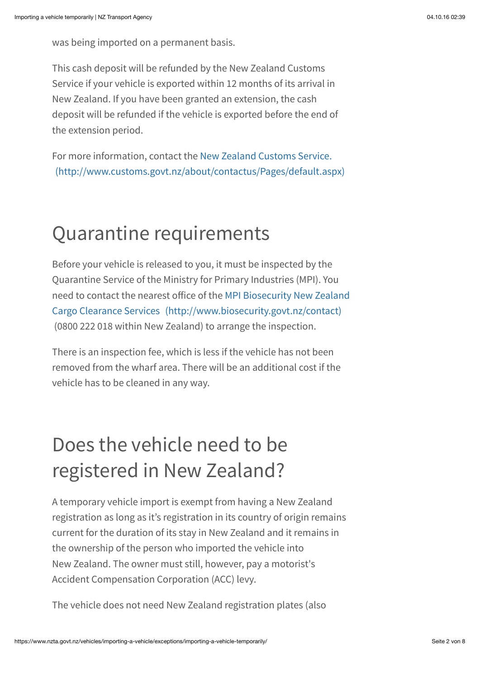was being imported on a permanent basis.

This cash deposit will be refunded by the New Zealand Customs Service if your vehicle is exported within 12 months of its arrival in New Zealand. If you have been granted an extension, the cash deposit will be refunded if the vehicle is exported before the end of the extension period.

For more information, contact the New Zealand Customs Service. [\(http://www.customs.govt.nz/about/contactus/Pages/default.aspx\)](http://www.customs.govt.nz/about/contactus/Pages/default.aspx)

## Quarantine requirements

Before your vehicle is released to you, it must be inspected by the Quarantine Service of the Ministry for Primary Industries (MPI). You need to contact the nearest office of the MPI Biosecurity New Zealand [Cargo Clearance Services \(http://www.biosecurity.govt.nz/contact\)](http://www.biosecurity.govt.nz/contact) (0800 222 018 within New Zealand) to arrange the inspection.

There is an inspection fee, which is less if the vehicle has not been removed from the wharf area. There will be an additional cost if the vehicle has to be cleaned in any way.

# Does the vehicle need to be registered in New Zealand?

A temporary vehicle import is exempt from having a New Zealand registration as long as it's registration in its country of origin remains current for the duration of its stay in New Zealand and it remains in the ownership of the person who imported the vehicle into New Zealand. The owner must still, however, pay a motorist's Accident Compensation Corporation (ACC) levy.

The vehicle does not need New Zealand registration plates (also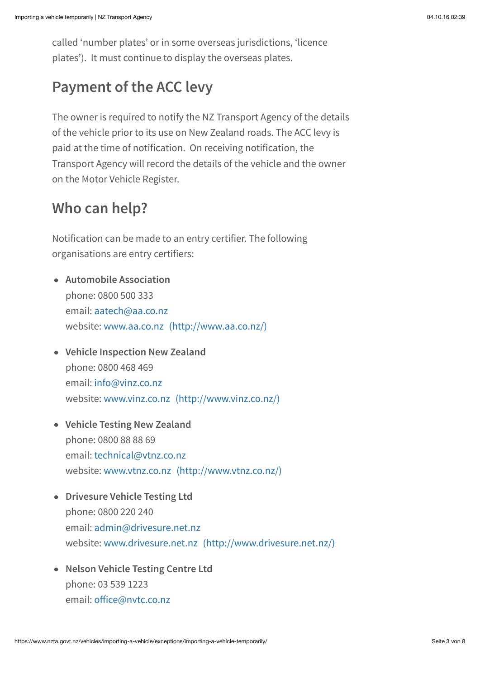called 'number plates' or in some overseas jurisdictions, 'licence plates'). It must continue to display the overseas plates.

### **Payment of the ACC levy**

The owner is required to notify the NZ Transport Agency of the details of the vehicle prior to its use on New Zealand roads. The ACC levy is paid at the time of notification. On receiving notification, the Transport Agency will record the details of the vehicle and the owner on the Motor Vehicle Register.

#### **Who can help?**

Notification can be made to an entry certifier. The following organisations are entry certifiers:

- **Automobile Association** phone: 0800 500 333 email: [aatech@aa.co.nz](mailto:aatech@aa.co.nz) website: [www.aa.co.nz \(http://www.aa.co.nz/\)](http://www.aa.co.nz/)
- **Vehicle Inspection New Zealand** phone: 0800 468 469 email: [info@vinz.co.nz](mailto:info@vinz.co.nz) website: [www.vinz.co.nz \(http://www.vinz.co.nz/\)](http://www.vinz.co.nz/)
- **Vehicle Testing New Zealand** phone: 0800 88 88 69 email: [technical@vtnz.co.nz](mailto:technical@vtnz.co.nz) website: [www.vtnz.co.nz \(http://www.vtnz.co.nz/\)](http://www.vtnz.co.nz/)
- **Drivesure Vehicle Testing Ltd** phone: 0800 220 240 email: [admin@drivesure.net.nz](mailto:admin@drivesure.net.nz) website: [www.drivesure.net.nz \(http://www.drivesure.net.nz/\)](http://www.drivesure.net.nz/)
- **Nelson Vehicle Testing Centre Ltd** phone: 03 539 1223 email: off[ice@nvtc.co.nz](mailto:office@nvtc.co.nz)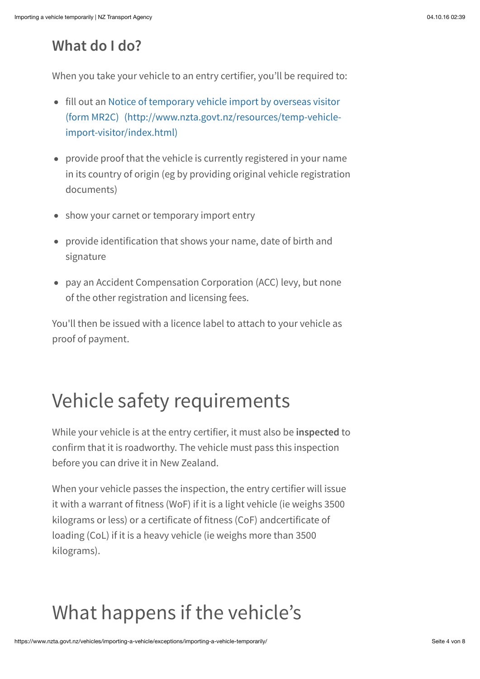### **What do I do?**

When you take your vehicle to an entry certifier, you'll be required to:

- fill out an Notice of temporary vehicle import by overseas visitor [\(form MR2C\) \(http://www.nzta.govt.nz/resources/temp-vehicle](http://www.nzta.govt.nz/resources/temp-vehicle-import-visitor/index.html)import-visitor/index.html)
- provide proof that the vehicle is currently registered in your name in its country of origin (eg by providing original vehicle registration documents)
- show your carnet or temporary import entry
- provide identification that shows your name, date of birth and signature
- pay an Accident Compensation Corporation (ACC) levy, but none of the other registration and licensing fees.

You'll then be issued with a licence label to attach to your vehicle as proof of payment.

# Vehicle safety requirements

While your vehicle is at the entry certifier, it must also be **inspected** to confirm that it is roadworthy. The vehicle must pass this inspection before you can drive it in New Zealand.

When your vehicle passes the inspection, the entry certifier will issue it with a warrant of fitness (WoF) if it is a light vehicle (ie weighs 3500 kilograms or less) or a certificate of fitness (CoF) andcertificate of loading (CoL) if it is a heavy vehicle (ie weighs more than 3500 kilograms).

# What happens if the vehicle's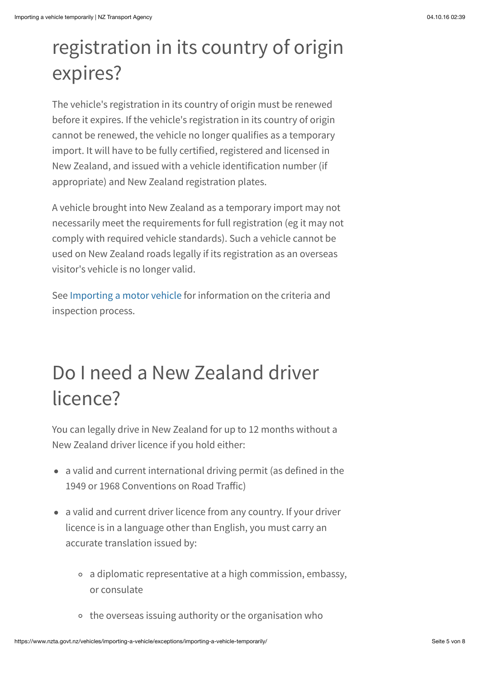## registration in its country of origin expires?

The vehicle's registration in its country of origin must be renewed before it expires. If the vehicle's registration in its country of origin cannot be renewed, the vehicle no longer qualifies as a temporary import. It will have to be fully certified, registered and licensed in New Zealand, and issued with a vehicle identification number (if appropriate) and New Zealand registration plates.

A vehicle brought into New Zealand as a temporary import may not necessarily meet the requirements for full registration (eg it may not comply with required vehicle standards). Such a vehicle cannot be used on New Zealand roads legally if its registration as an overseas visitor's vehicle is no longer valid.

See [Importing a motor vehicle](https://www.nzta.govt.nz/vehicles/importing-a-vehicle/) for information on the criteria and inspection process.

# Do I need a New Zealand driver licence?

You can legally drive in New Zealand for up to 12 months without a New Zealand driver licence if you hold either:

- a valid and current international driving permit (as defined in the 1949 or 1968 Conventions on Road Traffic)
- a valid and current driver licence from any country. If your driver licence is in a language other than English, you must carry an accurate translation issued by:
	- a diplomatic representative at a high commission, embassy, or consulate
	- o the overseas issuing authority or the organisation who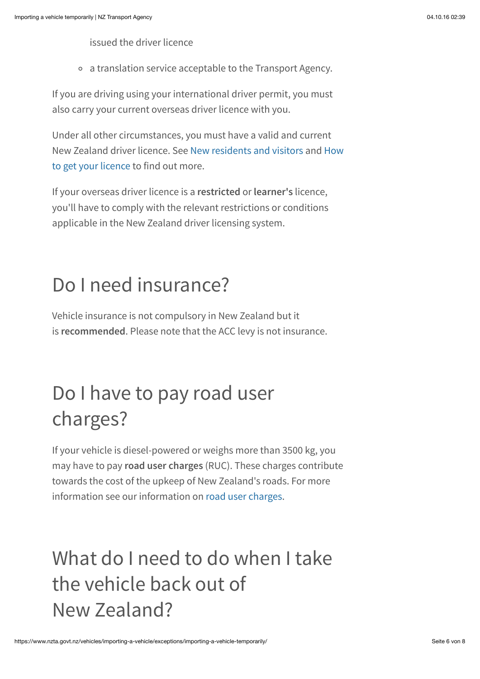issued the driver licence

a translation service acceptable to the Transport Agency.

If you are driving using your international driver permit, you must also carry your current overseas driver licence with you.

Under all other circumstances, you must have a valid and current [New Zealand driver licence. See New residents and visitors and How](https://www.nzta.govt.nz/driver-licences/new-residents-and-visitors/) to get your licence to find out more.

If your overseas driver licence is a **restricted** or **learner's** licence, you'll have to comply with the relevant restrictions or conditions applicable in the New Zealand driver licensing system.

## Do I need insurance?

Vehicle insurance is not compulsory in New Zealand but it is **recommended**. Please note that the ACC levy is not insurance.

# Do I have to pay road user charges?

If your vehicle is diesel-powered or weighs more than 3500 kg, you may have to pay **road user charges** (RUC). These charges contribute towards the cost of the upkeep of New Zealand's roads. For more information see our information on [road user charges](https://www.nzta.govt.nz/vehicles/licensing-rego/road-user-charges/).

# What do I need to do when I take the vehicle back out of New Zealand?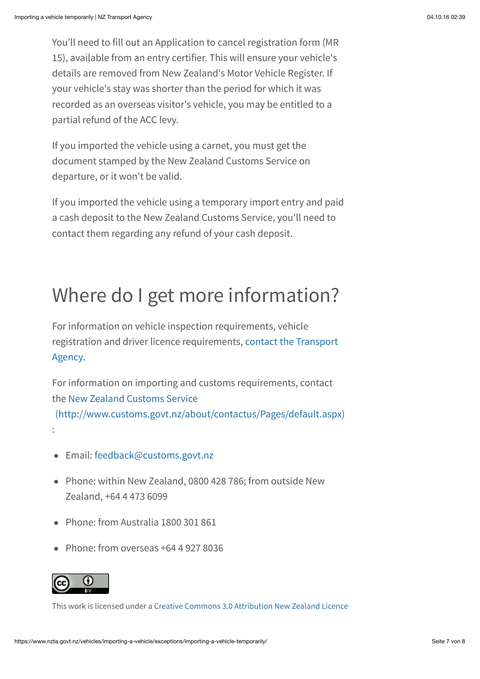You'll need to fill out an Application to cancel registration form (MR 15), available from an entry certifier. This will ensure your vehicle's details are removed from New Zealand's Motor Vehicle Register. If your vehicle's stay was shorter than the period for which it was recorded as an overseas visitor's vehicle, you may be entitled to a partial refund of the ACC levy.

If you imported the vehicle using a carnet, you must get the document stamped by the New Zealand Customs Service on departure, or it won't be valid.

If you imported the vehicle using a temporary import entry and paid a cash deposit to the New Zealand Customs Service, you'll need to contact them regarding any refund of your cash deposit.

## Where do I get more information?

For information on vehicle inspection requirements, vehicle [registration and driver licence requirements, contact the Transport](https://www.nzta.govt.nz/contact-us/) Agency.

For information on importing and customs requirements, contact the New Zealand Customs Service [\(http://www.customs.govt.nz/about/contactus/Pages/default.aspx\)](http://www.customs.govt.nz/about/contactus/Pages/default.aspx)

- Email: [feedback@customs.govt.nz](mailto:feedback@customs.govt.nz)
- Phone: within New Zealand, 0800 428 786; from outside New Zealand, +64 4 473 6099
- Phone: from Australia 1800 301 861
- Phone: from overseas +64 4 927 8036



:

This work is licensed under a [Creative Commons 3.0 Attribution New Zealand Licence](http://creativecommons.org/licenses/by/3.0/nz)